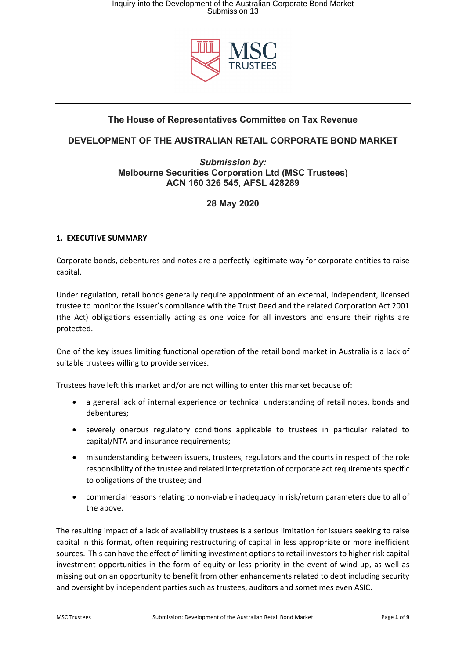

# **The House of Representatives Committee on Tax Revenue**

# **DEVELOPMENT OF THE AUSTRALIAN RETAIL CORPORATE BOND MARKET**

# *Submission by:* **Melbourne Securities Corporation Ltd (MSC Trustees) ACN 160 326 545, AFSL 428289**

# **28 May 2020**

## **1. EXECUTIVE SUMMARY**

Corporate bonds, debentures and notes are a perfectly legitimate way for corporate entities to raise capital.

Under regulation, retail bonds generally require appointment of an external, independent, licensed trustee to monitor the issuer's compliance with the Trust Deed and the related Corporation Act 2001 (the Act) obligations essentially acting as one voice for all investors and ensure their rights are protected.

One of the key issues limiting functional operation of the retail bond market in Australia is a lack of suitable trustees willing to provide services.

Trustees have left this market and/or are not willing to enter this market because of:

- a general lack of internal experience or technical understanding of retail notes, bonds and debentures;
- severely onerous regulatory conditions applicable to trustees in particular related to capital/NTA and insurance requirements;
- misunderstanding between issuers, trustees, regulators and the courts in respect of the role responsibility of the trustee and related interpretation of corporate act requirements specific to obligations of the trustee; and
- commercial reasons relating to non-viable inadequacy in risk/return parameters due to all of the above.

The resulting impact of a lack of availability trustees is a serious limitation for issuers seeking to raise capital in this format, often requiring restructuring of capital in less appropriate or more inefficient sources. This can have the effect of limiting investment options to retail investors to higher risk capital investment opportunities in the form of equity or less priority in the event of wind up, as well as missing out on an opportunity to benefit from other enhancements related to debt including security and oversight by independent parties such as trustees, auditors and sometimes even ASIC.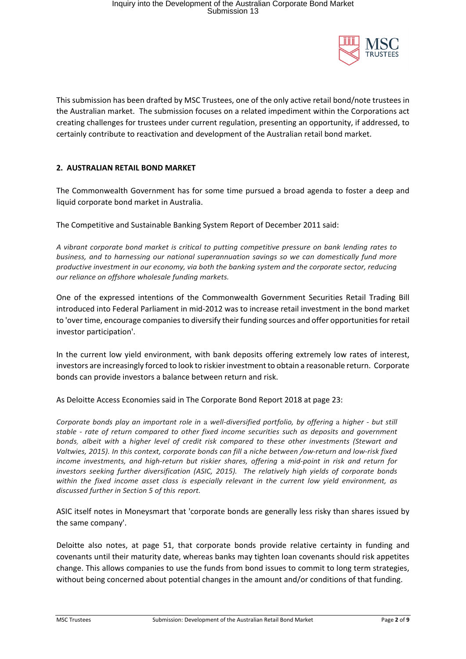

This submission has been drafted by MSC Trustees, one of the only active retail bond/note trustees in the Australian market. The submission focuses on a related impediment within the Corporations act creating challenges for trustees under current regulation, presenting an opportunity, if addressed, to certainly contribute to reactivation and development of the Australian retail bond market.

### **2. AUSTRALIAN RETAIL BOND MARKET**

The Commonwealth Government has for some time pursued a broad agenda to foster a deep and liquid corporate bond market in Australia.

The Competitive and Sustainable Banking System Report of December 2011 said:

*A vibrant corporate bond market is critical to putting competitive pressure on bank lending rates to business, and to harnessing our national superannuation savings so we can domestically fund more productive investment in our economy, via both the banking system and the corporate sector, reducing our reliance on offshore wholesale funding markets.*

One of the expressed intentions of the Commonwealth Government Securities Retail Trading Bill introduced into Federal Parliament in mid-2012 was to increase retail investment in the bond market to 'over time, encourage companies to diversify their funding sources and offer opportunities for retail investor participation'.

In the current low yield environment, with bank deposits offering extremely low rates of interest, investors are increasingly forced to look to riskier investment to obtain a reasonable return. Corporate bonds can provide investors a balance between return and risk.

As Deloitte Access Economies said in The Corporate Bond Report 2018 at page 23:

*Corporate bonds play an important role in* a *well-diversified portfolio, by offering* a *higher* - *but still stable* - *rate of return compared to other fixed income securities such as deposits and government bonds, albeit with* a *higher level of credit risk compared to these other investments (Stewart and Valtwies, 2015). In this context, corporate bonds can fill a niche between /ow-return and low-risk fixed income investments, and high-return but riskier shares, offering* a *mid-point in risk and return for investors seeking further diversification (ASIC, 2015). The relatively high yields of corporate bonds within the fixed income asset class is especially relevant in the current low yield environment, as discussed further in Section 5 of this report.*

ASIC itself notes in Moneysmart that 'corporate bonds are generally less risky than shares issued by the same company'.

Deloitte also notes, at page 51, that corporate bonds provide relative certainty in funding and covenants until their maturity date, whereas banks may tighten loan covenants should risk appetites change. This allows companies to use the funds from bond issues to commit to long term strategies, without being concerned about potential changes in the amount and/or conditions of that funding.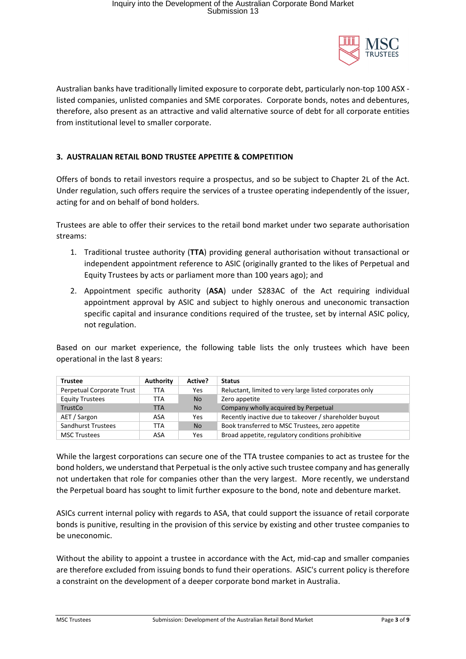

Australian banks have traditionally limited exposure to corporate debt, particularly non-top 100 ASX listed companies, unlisted companies and SME corporates. Corporate bonds, notes and debentures, therefore, also present as an attractive and valid alternative source of debt for all corporate entities from institutional level to smaller corporate.

# **3. AUSTRALIAN RETAIL BOND TRUSTEE APPETITE & COMPETITION**

Offers of bonds to retail investors require a prospectus, and so be subject to Chapter 2L of the Act. Under regulation, such offers require the services of a trustee operating independently of the issuer, acting for and on behalf of bond holders.

Trustees are able to offer their services to the retail bond market under two separate authorisation streams:

- 1. Traditional trustee authority (**TTA**) providing general authorisation without transactional or independent appointment reference to ASIC (originally granted to the likes of Perpetual and Equity Trustees by acts or parliament more than 100 years ago); and
- 2. Appointment specific authority (**ASA**) under S283AC of the Act requiring individual appointment approval by ASIC and subject to highly onerous and uneconomic transaction specific capital and insurance conditions required of the trustee, set by internal ASIC policy, not regulation.

Based on our market experience, the following table lists the only trustees which have been operational in the last 8 years:

| <b>Trustee</b>            | Authority | Active?   | <b>Status</b>                                           |
|---------------------------|-----------|-----------|---------------------------------------------------------|
| Perpetual Corporate Trust | TTA       | Yes       | Reluctant, limited to very large listed corporates only |
| <b>Equity Trustees</b>    | TTA       | <b>No</b> | Zero appetite                                           |
| TrustCo                   | TTA       | <b>No</b> | Company wholly acquired by Perpetual                    |
| AET / Sargon              | ASA       | Yes       | Recently inactive due to takeover / shareholder buyout  |
| Sandhurst Trustees        | TTA       | <b>No</b> | Book transferred to MSC Trustees, zero appetite         |
| <b>MSC Trustees</b>       | ASA       | Yes       | Broad appetite, regulatory conditions prohibitive       |

While the largest corporations can secure one of the TTA trustee companies to act as trustee for the bond holders, we understand that Perpetual is the only active such trustee company and has generally not undertaken that role for companies other than the very largest. More recently, we understand the Perpetual board has sought to limit further exposure to the bond, note and debenture market.

ASICs current internal policy with regards to ASA, that could support the issuance of retail corporate bonds is punitive, resulting in the provision of this service by existing and other trustee companies to be uneconomic.

Without the ability to appoint a trustee in accordance with the Act, mid-cap and smaller companies are therefore excluded from issuing bonds to fund their operations. ASIC's current policy is therefore a constraint on the development of a deeper corporate bond market in Australia.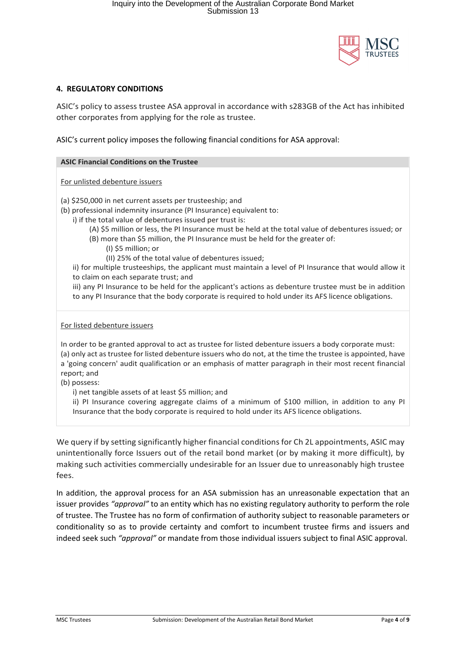

### **4. REGULATORY CONDITIONS**

ASIC's policy to assess trustee ASA approval in accordance with s283GB of the Act has inhibited other corporates from applying for the role as trustee.

ASIC's current policy imposes the following financial conditions for ASA approval:

#### **ASIC Financial Conditions on the Trustee**

For unlisted debenture issuers

(a) \$250,000 in net current assets per trusteeship; and

- (b) professional indemnity insurance (PI Insurance) equivalent to:
	- i) if the total value of debentures issued per trust is:
		- (A) \$5 million or less, the PI Insurance must be held at the total value of debentures issued; or
		- (B) more than \$5 million, the PI Insurance must be held for the greater of:
			- (I) \$5 million; or
			- (II) 25% of the total value of debentures issued;

ii) for multiple trusteeships, the applicant must maintain a level of PI Insurance that would allow it to claim on each separate trust; and

iii) any PI Insurance to be held for the applicant's actions as debenture trustee must be in addition to any PI Insurance that the body corporate is required to hold under its AFS licence obligations.

For listed debenture issuers

In order to be granted approval to act as trustee for listed debenture issuers a body corporate must: (a) only act as trustee for listed debenture issuers who do not, at the time the trustee is appointed, have a 'going concern' audit qualification or an emphasis of matter paragraph in their most recent financial report; and

(b) possess:

i) net tangible assets of at least \$5 million; and

ii) PI Insurance covering aggregate claims of a minimum of \$100 million, in addition to any PI Insurance that the body corporate is required to hold under its AFS licence obligations.

We query if by setting significantly higher financial conditions for Ch 2L appointments, ASIC may unintentionally force Issuers out of the retail bond market (or by making it more difficult), by making such activities commercially undesirable for an Issuer due to unreasonably high trustee fees.

In addition, the approval process for an ASA submission has an unreasonable expectation that an issuer provides *"approval"* to an entity which has no existing regulatory authority to perform the role of trustee. The Trustee has no form of confirmation of authority subject to reasonable parameters or conditionality so as to provide certainty and comfort to incumbent trustee firms and issuers and indeed seek such *"approval"* or mandate from those individual issuers subject to final ASIC approval.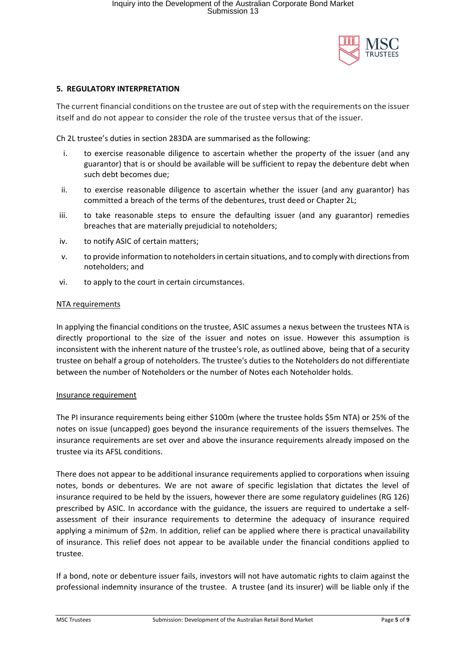

### **5. REGULATORY INTERPRETATION**

The current financial conditions on the trustee are out of step with the requirements on the issuer itself and do not appear to consider the role of the trustee versus that of the issuer.

Ch 2L trustee's duties in section 283DA are summarised as the following:

- i. to exercise reasonable diligence to ascertain whether the property of the issuer (and any guarantor) that is or should be available will be sufficient to repay the debenture debt when such debt becomes due;
- ii. to exercise reasonable diligence to ascertain whether the issuer (and any guarantor) has committed a breach of the terms of the debentures, trust deed or Chapter 2L;
- iii. to take reasonable steps to ensure the defaulting issuer (and any guarantor) remedies breaches that are materially prejudicial to noteholders;
- iv. to notify ASIC of certain matters;
- v. to provide information to noteholders in certain situations, and to comply with directions from noteholders; and
- vi. to apply to the court in certain circumstances.

#### NTA requirements

In applying the financial conditions on the trustee, ASIC assumes a nexus between the trustees NTA is directly proportional to the size of the issuer and notes on issue. However this assumption is inconsistent with the inherent nature of the trustee's role, as outlined above, being that of a security trustee on behalf a group of noteholders. The trustee's duties to the Noteholders do not differentiate between the number of Noteholders or the number of Notes each Noteholder holds.

#### Insurance requirement

The PI insurance requirements being either \$100m (where the trustee holds \$5m NTA) or 25% of the notes on issue (uncapped) goes beyond the insurance requirements of the issuers themselves. The insurance requirements are set over and above the insurance requirements already imposed on the trustee via its AFSL conditions.

There does not appear to be additional insurance requirements applied to corporations when issuing notes, bonds or debentures. We are not aware of specific legislation that dictates the level of insurance required to be held by the issuers, however there are some regulatory guidelines (RG 126) prescribed by ASIC. In accordance with the guidance, the issuers are required to undertake a selfassessment of their insurance requirements to determine the adequacy of insurance required applying a minimum of \$2m. In addition, relief can be applied where there is practical unavailability of insurance. This relief does not appear to be available under the financial conditions applied to trustee.

If a bond, note or debenture issuer fails, investors will not have automatic rights to claim against the professional indemnity insurance of the trustee. A trustee (and its insurer) will be liable only if the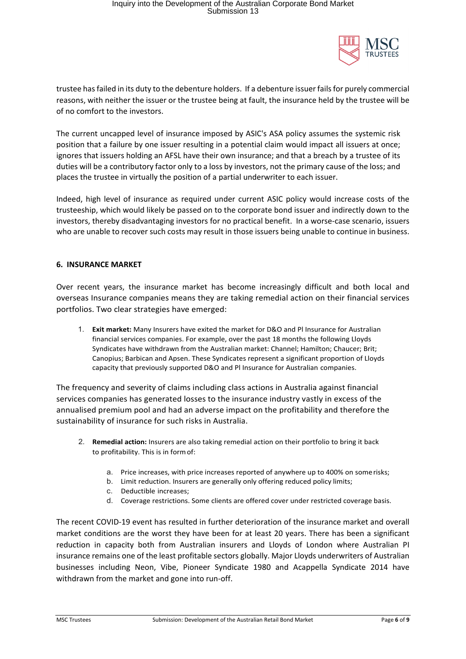

trustee has failed in its duty to the debenture holders. If a debenture issuer fails for purely commercial reasons, with neither the issuer or the trustee being at fault, the insurance held by the trustee will be of no comfort to the investors.

The current uncapped level of insurance imposed by ASIC's ASA policy assumes the systemic risk position that a failure by one issuer resulting in a potential claim would impact all issuers at once; ignores that issuers holding an AFSL have their own insurance; and that a breach by a trustee of its duties will be a contributory factor only to a loss by investors, not the primary cause of the loss; and places the trustee in virtually the position of a partial underwriter to each issuer.

Indeed, high level of insurance as required under current ASIC policy would increase costs of the trusteeship, which would likely be passed on to the corporate bond issuer and indirectly down to the investors, thereby disadvantaging investors for no practical benefit. In a worse-case scenario, issuers who are unable to recover such costs may result in those issuers being unable to continue in business.

### **6. INSURANCE MARKET**

Over recent years, the insurance market has become increasingly difficult and both local and overseas Insurance companies means they are taking remedial action on their financial services portfolios. Two clear strategies have emerged:

1. **Exit market:** Many Insurers have exited the market for D&O and Pl Insurance for Australian financial services companies. For example, over the past 18 months the following Lloyds Syndicates have withdrawn from the Australian market: Channel; Hamilton; Chaucer; Brit; Canopius; Barbican and Apsen. These Syndicates represent a significant proportion of Lloyds capacity that previously supported D&O and Pl Insurance for Australian companies.

The frequency and severity of claims including class actions in Australia against financial services companies has generated losses to the insurance industry vastly in excess of the annualised premium pool and had an adverse impact on the profitability and therefore the sustainability of insurance for such risks in Australia.

- 2. **Remedial action:** Insurers are also taking remedial action on their portfolio to bring it back to profitability. This is in formof:
	- a. Price increases, with price increases reported of anywhere up to 400% on somerisks;
	- b. Limit reduction. Insurers are generally only offering reduced policy limits;
	- c. Deductible increases;
	- d. Coverage restrictions. Some clients are offered cover under restricted coverage basis.

The recent COVID-19 event has resulted in further deterioration of the insurance market and overall market conditions are the worst they have been for at least 20 years. There has been a significant reduction in capacity both from Australian insurers and Lloyds of London where Australian PI insurance remains one of the least profitable sectors globally. Major Lloyds underwriters of Australian businesses including Neon, Vibe, Pioneer Syndicate 1980 and Acappella Syndicate 2014 have withdrawn from the market and gone into run-off.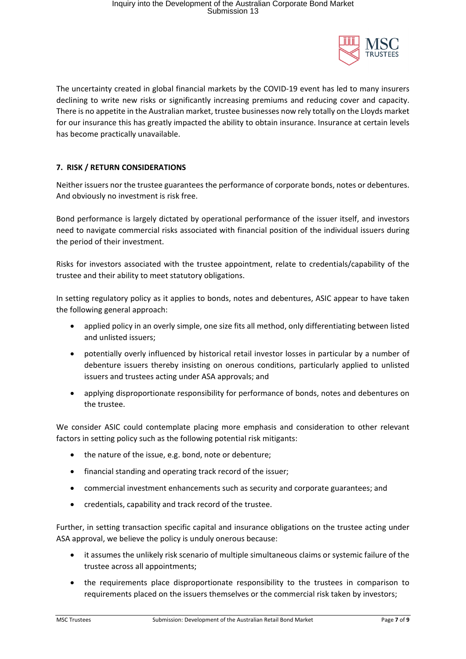

The uncertainty created in global financial markets by the COVID-19 event has led to many insurers declining to write new risks or significantly increasing premiums and reducing cover and capacity. There is no appetite in the Australian market, trustee businesses now rely totally on the Lloyds market for our insurance this has greatly impacted the ability to obtain insurance. Insurance at certain levels has become practically unavailable.

## **7. RISK / RETURN CONSIDERATIONS**

Neither issuers nor the trustee guarantees the performance of corporate bonds, notes or debentures. And obviously no investment is risk free.

Bond performance is largely dictated by operational performance of the issuer itself, and investors need to navigate commercial risks associated with financial position of the individual issuers during the period of their investment.

Risks for investors associated with the trustee appointment, relate to credentials/capability of the trustee and their ability to meet statutory obligations.

In setting regulatory policy as it applies to bonds, notes and debentures, ASIC appear to have taken the following general approach:

- applied policy in an overly simple, one size fits all method, only differentiating between listed and unlisted issuers;
- potentially overly influenced by historical retail investor losses in particular by a number of debenture issuers thereby insisting on onerous conditions, particularly applied to unlisted issuers and trustees acting under ASA approvals; and
- applying disproportionate responsibility for performance of bonds, notes and debentures on the trustee.

We consider ASIC could contemplate placing more emphasis and consideration to other relevant factors in setting policy such as the following potential risk mitigants:

- the nature of the issue, e.g. bond, note or debenture;
- financial standing and operating track record of the issuer;
- commercial investment enhancements such as security and corporate guarantees; and
- credentials, capability and track record of the trustee.

Further, in setting transaction specific capital and insurance obligations on the trustee acting under ASA approval, we believe the policy is unduly onerous because:

- it assumes the unlikely risk scenario of multiple simultaneous claims or systemic failure of the trustee across all appointments;
- the requirements place disproportionate responsibility to the trustees in comparison to requirements placed on the issuers themselves or the commercial risk taken by investors;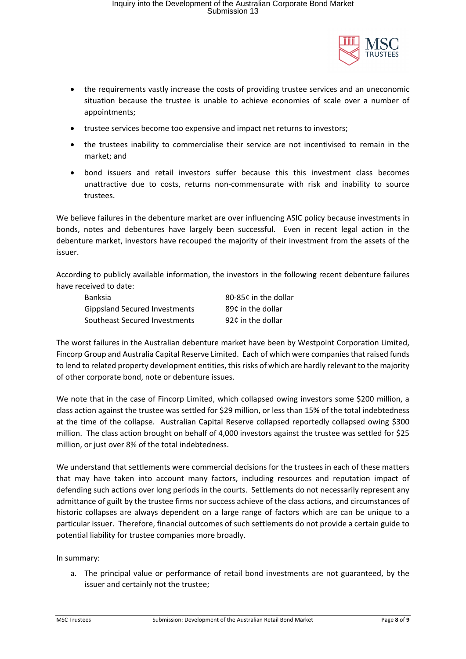

- the requirements vastly increase the costs of providing trustee services and an uneconomic situation because the trustee is unable to achieve economies of scale over a number of appointments;
- trustee services become too expensive and impact net returns to investors;
- the trustees inability to commercialise their service are not incentivised to remain in the market; and
- bond issuers and retail investors suffer because this this investment class becomes unattractive due to costs, returns non-commensurate with risk and inability to source trustees.

We believe failures in the debenture market are over influencing ASIC policy because investments in bonds, notes and debentures have largely been successful. Even in recent legal action in the debenture market, investors have recouped the majority of their investment from the assets of the issuer.

According to publicly available information, the investors in the following recent debenture failures have received to date:

| <b>Banksia</b>                       | 80-85¢ in the dollar |
|--------------------------------------|----------------------|
| <b>Gippsland Secured Investments</b> | 89¢ in the dollar    |
| Southeast Secured Investments        | 92¢ in the dollar    |

The worst failures in the Australian debenture market have been by Westpoint Corporation Limited, Fincorp Group and Australia Capital Reserve Limited. Each of which were companies that raised funds to lend to related property development entities, this risks of which are hardly relevant to the majority of other corporate bond, note or debenture issues.

We note that in the case of Fincorp Limited, which collapsed owing investors some \$200 million, a class action against the trustee was settled for \$29 million, or less than 15% of the total indebtedness at the time of the collapse. Australian Capital Reserve collapsed reportedly collapsed owing \$300 million. The class action brought on behalf of 4,000 investors against the trustee was settled for \$25 million, or just over 8% of the total indebtedness.

We understand that settlements were commercial decisions for the trustees in each of these matters that may have taken into account many factors, including resources and reputation impact of defending such actions over long periods in the courts. Settlements do not necessarily represent any admittance of guilt by the trustee firms nor success achieve of the class actions, and circumstances of historic collapses are always dependent on a large range of factors which are can be unique to a particular issuer. Therefore, financial outcomes of such settlements do not provide a certain guide to potential liability for trustee companies more broadly.

In summary:

a. The principal value or performance of retail bond investments are not guaranteed, by the issuer and certainly not the trustee;